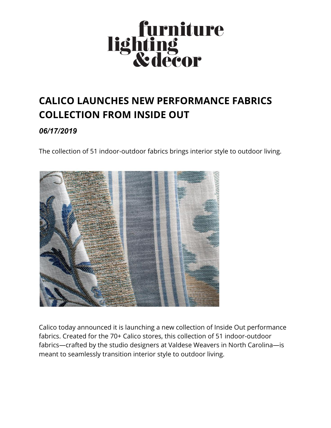

## **CALICO LAUNCHES NEW PERFORMANCE FABRICS COLLECTION FROM INSIDE OUT**

## *06/17/2019*

The collection of 51 indoor-outdoor fabrics brings interior style to outdoor living.



Calico today announced it is launching a new collection of Inside Out performance fabrics. Created for the 70+ Calico stores, this collection of 51 indoor-outdoor fabrics—crafted by the studio designers at Valdese Weavers in North Carolina—is meant to seamlessly transition interior style to outdoor living.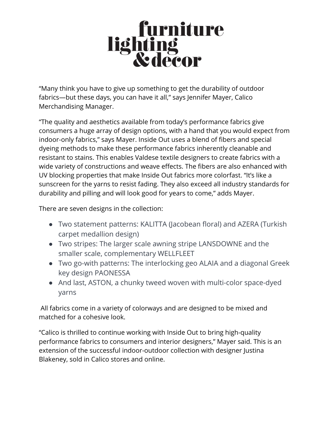## **Surniture**<br>Saling<br>Redecor

"Many think you have to give up something to get the durability of outdoor fabrics—but these days, you can have it all," says Jennifer Mayer, Calico Merchandising Manager.

"The quality and aesthetics available from today's performance fabrics give consumers a huge array of design options, with a hand that you would expect from indoor-only fabrics," says Mayer. Inside Out uses a blend of fibers and special dyeing methods to make these performance fabrics inherently cleanable and resistant to stains. This enables Valdese textile designers to create fabrics with a wide variety of constructions and weave effects. The fibers are also enhanced with UV blocking properties that make Inside Out fabrics more colorfast. "It's like a sunscreen for the yarns to resist fading. They also exceed all industry standards for durability and pilling and will look good for years to come," adds Mayer.

There are seven designs in the collection:

- Two statement patterns: KALITTA (Jacobean floral) and AZERA (Turkish carpet medallion design)
- Two stripes: The larger scale awning stripe LANSDOWNE and the smaller scale, complementary WELLFLEET
- Two go-with patterns: The interlocking geo ALAIA and a diagonal Greek key design PAONESSA
- And last, ASTON, a chunky tweed woven with multi-color space-dyed yarns

All fabrics come in a variety of colorways and are designed to be mixed and matched for a cohesive look.

"Calico is thrilled to continue working with Inside Out to bring high-quality performance fabrics to consumers and interior designers," Mayer said. This is an extension of the successful indoor-outdoor collection with designer Justina Blakeney, sold in Calico stores and online.